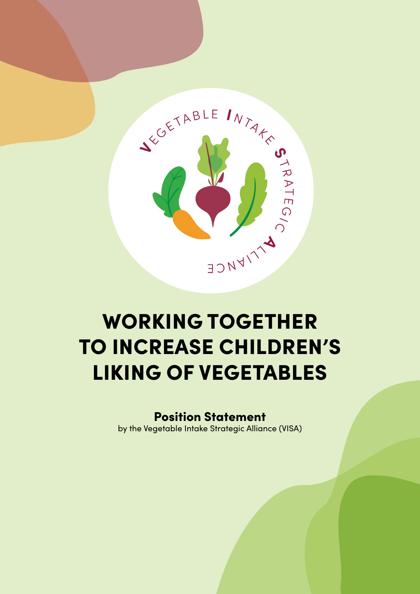

# WORKING TOGETHER TO INCREASE CHILDREN'S LIKING OF VEGETABLES

# Position Statement

by the Vegetable Intake Strategic Alliance (VISA)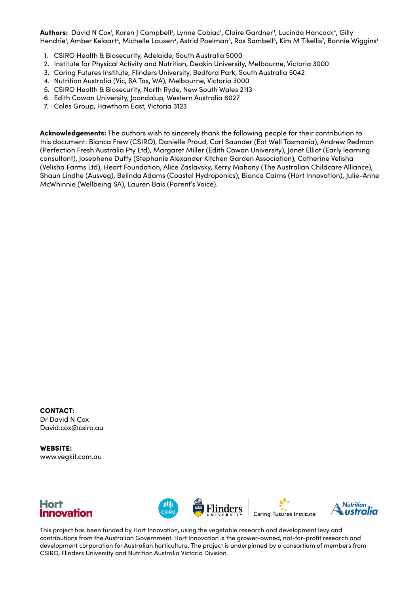**Authors:** David N Cox<sup>1</sup>, Karen J Campbell<sup>2</sup>, Lynne Cobiac<sup>1</sup>, Claire Gardner<sup>3</sup>, Lucinda Hancock<sup>4</sup>, Gilly Hendrie', Amber Kelaart<sup>4</sup>, Michelle Lausen<sup>4</sup>, Astrid Poelman<sup>5</sup>, Ros Sambell<sup>6</sup>, Kim M Tikellis<sup>7</sup>, Bonnie Wiggins'

- 1. CSIRO Health & Biosecurity, Adelaide, South Australia 5000
- 2. Institute for Physical Activity and Nutrition, Deakin University, Melbourne, Victoria 3000
- 3. Caring Futures Institute, Flinders University, Bedford Park, South Australia 5042
- 4. Nutrition Australia (Vic, SA Tas, WA), Melbourne, Victoria 3000
- 5. CSIRO Health & Biosecurity, North Ryde, New South Wales 2113
- 6. Edith Cowan University, Joondalup, Western Australia 6027
- 7. Coles Group, Hawthorn East, Victoria 3123

Acknowledgements: The authors wish to sincerely thank the following people for their contribution to this document: Bianca Frew (CSIRO), Danielle Proud, Carl Saunder (Eat Well Tasmania), Andrew Redman (Perfection Fresh Australia Pty Ltd), Margaret Miller (Edith Cowan University), Janet Elliot (Early learning consultant), Josephene Duffy (Stephanie Alexander Kitchen Garden Association), Catherine Velisha (Velisha Farms Ltd), Heart Foundation, Alice Zaslavsky, Kerry Mahony (The Australian Childcare Alliance), Shaun Lindhe (Ausveg), Belinda Adams (Coastal Hydroponics), Bianca Cairns (Hort Innovation), Julie-Anne McWhinnie (Wellbeing SA), Lauren Bais (Parent's Voice).

CONTACT: Dr David N Cox David.cox@csiro.au

WEBSITE: www.vegkit.com.au



This project has been funded by Hort Innovation, using the vegetable research and development levy and contributions from the Australian Government. Hort Innovation is the grower-owned, not-for-profit research and development corporation for Australian horticulture. The project is underpinned by a consortium of members from CSIRO, Flinders University and Nutrition Australia Victoria Division.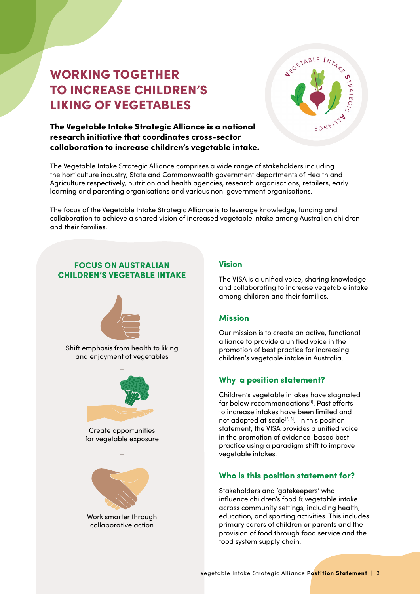# WORKING TOGETHER TO INCREASE CHILDREN'S LIKING OF VEGETABLES



### The Vegetable Intake Strategic Alliance is a national research initiative that coordinates cross-sector collaboration to increase children's vegetable intake.

The Vegetable Intake Strategic Alliance comprises a wide range of stakeholders including the horticulture industry, State and Commonwealth government departments of Health and Agriculture respectively, nutrition and health agencies, research organisations, retailers, early learning and parenting organisations and various non-government organisations.

The focus of the Vegetable Intake Strategic Alliance is to leverage knowledge, funding and collaboration to achieve a shared vision of increased vegetable intake among Australian children and their families.

### FOCUS ON AUSTRALIAN CHILDREN'S VEGETABLE INTAKE



Shift emphasis from health to liking and enjoyment of vegetables



Create opportunities for vegetable exposure

 $\overline{a}$ 



Work smarter through collaborative action

#### Vision

The VISA is a unified voice, sharing knowledge and collaborating to increase vegetable intake among children and their families.

#### Mission

Our mission is to create an active, functional alliance to provide a unified voice in the promotion of best practice for increasing children's vegetable intake in Australia.

### Why a position statement?

Children's vegetable intakes have stagnated far below recommendations<sup>[1]</sup>. Past efforts to increase intakes have been limited and not adopted at scale<sup>[2, 3]</sup>. In this position statement, the VISA provides a unified voice in the promotion of evidence-based best practice using a paradigm shift to improve vegetable intakes.

### Who is this position statement for?

Stakeholders and 'gatekeepers' who influence children's food & vegetable intake across community settings, including health, education, and sporting activities. This includes primary carers of children or parents and the provision of food through food service and the food system supply chain.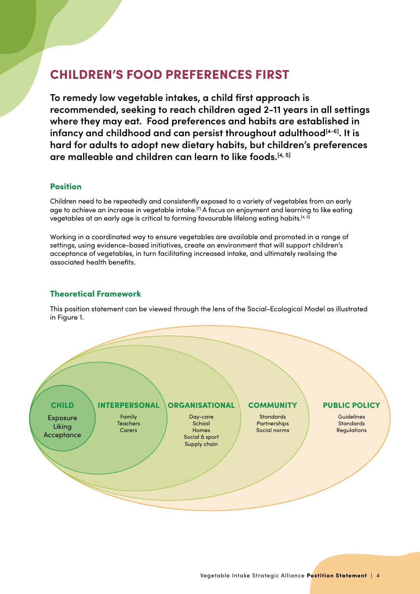# CHILDREN'S FOOD PREFERENCES FIRST

**To remedy low vegetable intakes, a child first approach is recommended, seeking to reach children aged 2-11 years in all settings where they may eat. Food preferences and habits are established in**  infancy and childhood and can persist throughout adulthood<sup>[4-6]</sup>. It is **hard for adults to adopt new dietary habits, but children's preferences are malleable and children can learn to like foods.[4, 5]**

#### Position

Children need to be repeatedly and consistently exposed to a variety of vegetables from an early age to achieve an increase in vegetable intake.[7] A focus on enjoyment and learning to like eating vegetables at an early age is critical to forming favourable lifelong eating habits.<sup>[4, 5]</sup>

Working in a coordinated way to ensure vegetables are available and promoted in a range of settings, using evidence-based initiatives, create an environment that will support children's acceptance of vegetables, in turn facilitating increased intake, and ultimately realising the associated health benefits.

#### Theoretical Framework

This position statement can be viewed through the lens of the Social-Ecological Model as illustrated in Figure 1.

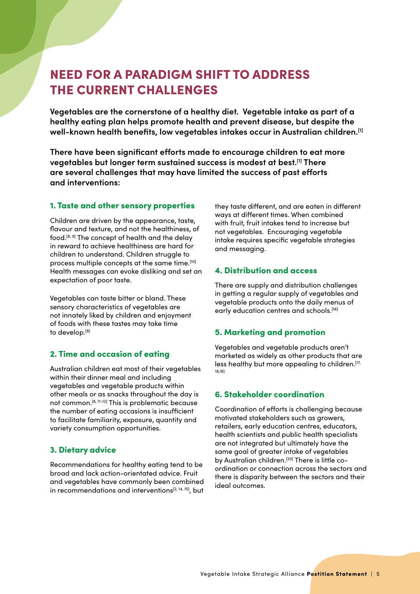# NEED FOR A PARADIGM SHIFT TO ADDRESS THE CURRENT CHALLENGES

**Vegetables are the cornerstone of a healthy diet. Vegetable intake as part of a healthy eating plan helps promote health and prevent disease, but despite the well-known health benefits, low vegetables intakes occur in Australian children.[1]**

**There have been significant efforts made to encourage children to eat more vegetables but longer term sustained success is modest at best.[1] There are several challenges that may have limited the success of past efforts and interventions:** 

#### 1. Taste and other sensory properties

Children are driven by the appearance, taste, flavour and texture, and not the healthiness, of food.[8, 9] The concept of health and the delay in reward to achieve healthiness are hard for children to understand. Children struggle to process multiple concepts at the same time.[10] Health messages can evoke disliking and set an expectation of poor taste.

Vegetables can taste bitter or bland. These sensory characteristics of vegetables are not innately liked by children and enjoyment of foods with these tastes may take time to develop.<sup>[8]</sup>

#### 2. Time and occasion of eating

Australian children eat most of their vegetables within their dinner meal and including vegetables and vegetable products within other meals or as snacks throughout the day is not common.[8, 11-13] This is problematic because the number of eating occasions is insufficient to facilitate familiarity, exposure, quantity and variety consumption opportunities.

#### 3. Dietary advice

Recommendations for healthy eating tend to be broad and lack action-orientated advice. Fruit and vegetables have commonly been combined in recommendations and interventions<sup>[2, 14, 15]</sup>, but

they taste different, and are eaten in different ways at different times. When combined with fruit, fruit intakes tend to increase but not vegetables. Encouraging vegetable intake requires specific vegetable strategies and messaging.

#### 4. Distribution and access

There are supply and distribution challenges in getting a regular supply of vegetables and vegetable products onto the daily menus of early education centres and schools.<sup>[16]</sup>

#### 5. Marketing and promotion

Vegetables and vegetable products aren't marketed as widely as other products that are less healthy but more appealing to children.<sup>[17,</sup> 18,19]

#### 6. Stakeholder coordination

Coordination of efforts is challenging because motivated stakeholders such as growers, retailers, early education centres, educators, health scientists and public health specialists are not integrated but ultimately have the same goal of greater intake of vegetables by Australian children.<sup>[20]</sup> There is little coordination or connection across the sectors and there is disparity between the sectors and their ideal outcomes.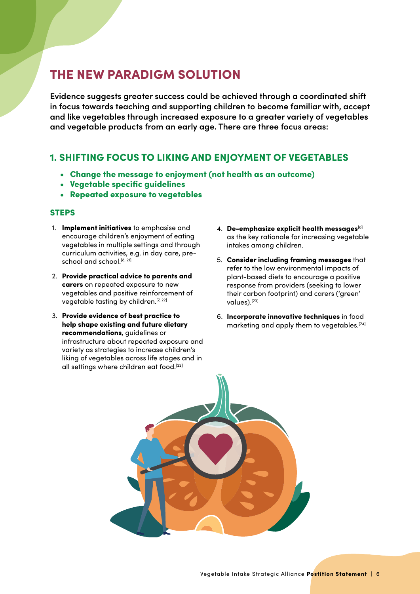# THE NEW PARADIGM SOLUTION

**Evidence suggests greater success could be achieved through a coordinated shift in focus towards teaching and supporting children to become familiar with, accept and like vegetables through increased exposure to a greater variety of vegetables and vegetable products from an early age. There are three focus areas:**

# 1. SHIFTING FOCUS TO LIKING AND ENJOYMENT OF VEGETABLES

- Change the message to enjoyment (not health as an outcome)
- Vegetable specific guidelines
- Repeated exposure to vegetables

#### **STEPS**

- 1. Implement initiatives to emphasise and encourage children's enjoyment of eating vegetables in multiple settings and through curriculum activities, e.g. in day care, preschool and school.<sup>[8, 21]</sup>
- 2. Provide practical advice to parents and carers on repeated exposure to new vegetables and positive reinforcement of vegetable tasting by children.<sup>[7, 22]</sup>
- 3. Provide evidence of best practice to help shape existing and future dietary recommendations, guidelines or infrastructure about repeated exposure and variety as strategies to increase children's liking of vegetables across life stages and in all settings where children eat food.[22]
- 4. De-emphasize explicit health messages[8] as the key rationale for increasing vegetable intakes among children.
- 5. Consider including framing messages that refer to the low environmental impacts of plant-based diets to encourage a positive response from providers (seeking to lower their carbon footprint) and carers ('green' values).[23]
- 6. Incorporate innovative techniques in food marketing and apply them to vegetables.[24]

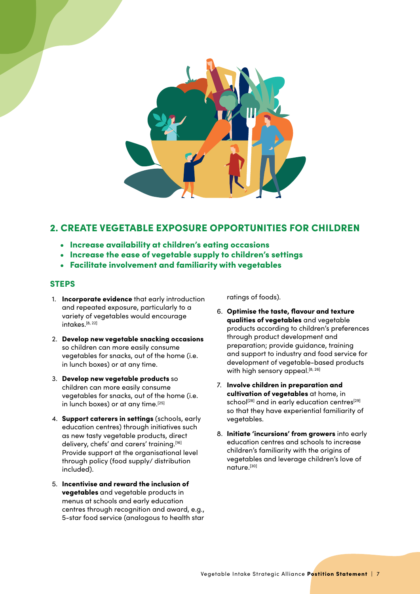

## 2. CREATE VEGETABLE EXPOSURE OPPORTUNITIES FOR CHILDREN

- Increase availability at children's eating occasions
- Increase the ease of vegetable supply to children's settings
- Facilitate involvement and familiarity with vegetables

#### **STEPS**

- 1. **Incorporate evidence** that early introduction and repeated exposure, particularly to a variety of vegetables would encourage intakes.<sup>[8, 22]</sup>
- 2. Develop new vegetable snacking occasions so children can more easily consume vegetables for snacks, out of the home (i.e. in lunch boxes) or at any time.
- 3. Develop new vegetable products so children can more easily consume vegetables for snacks, out of the home (i.e. in lunch boxes) or at any time.<sup>[25]</sup>
- 4. Support caterers in settings (schools, early education centres) through initiatives such as new tasty vegetable products, direct delivery, chefs' and carers' training.<sup>[16]</sup> Provide support at the organisational level through policy (food supply/ distribution included).
- 5. Incentivise and reward the inclusion of vegetables and vegetable products in menus at schools and early education centres through recognition and award, e.g., 5-star food service (analogous to health star

ratings of foods).

- 6. Optimise the taste, flavour and texture qualities of vegetables and vegetable products according to children's preferences through product development and preparation; provide guidance, training and support to industry and food service for development of vegetable-based products with high sensory appeal.<sup>[8, 26]</sup>
- 7. Involve children in preparation and cultivation of vegetables at home, in school<sup>[28]</sup> and in early education centres<sup>[29]</sup> so that they have experiential familiarity of vegetables.
- 8. Initiate 'incursions' from growers into early education centres and schools to increase children's familiarity with the origins of vegetables and leverage children's love of nature.[30]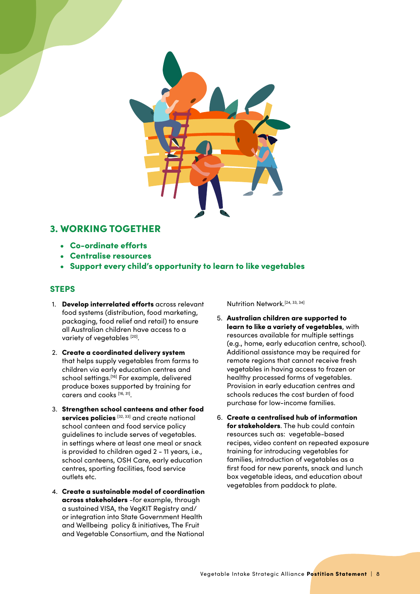

### 3. WORKING TOGETHER

- Co-ordinate efforts
- Centralise resources
- Support every child's opportunity to learn to like vegetables

#### **STEPS**

- 1. Develop interrelated efforts across relevant food systems (distribution, food marketing, packaging, food relief and retail) to ensure all Australian children have access to a variety of vegetables [20].
- 2. Create a coordinated delivery system that helps supply vegetables from farms to children via early education centres and school settings.<sup>[16]</sup> For example, delivered produce boxes supported by training for carers and cooks [16, 31].
- 3. Strengthen school canteens and other food services policies [32, 33] and create national school canteen and food service policy guidelines to include serves of vegetables. in settings where at least one meal or snack is provided to children aged 2 - 11 years, i.e., school canteens, OSH Care, early education centres, sporting facilities, food service outlets etc.
- 4. Create a sustainable model of coordination across stakeholders -for example, through a sustained VISA, the VegKIT Registry and/ or integration into State Government Health and Wellbeing policy & initiatives, The Fruit and Vegetable Consortium, and the National

Nutrition Network.[24, 33, 34]

- 5. Australian children are supported to learn to like a variety of vegetables, with resources available for multiple settings (e.g., home, early education centre, school). Additional assistance may be required for remote regions that cannot receive fresh vegetables in having access to frozen or healthy processed forms of vegetables. Provision in early education centres and schools reduces the cost burden of food purchase for low-income families.
- 6. Create a centralised hub of information for stakeholders. The hub could contain resources such as: vegetable-based recipes, video content on repeated exposure training for introducing vegetables for families, introduction of vegetables as a first food for new parents, snack and lunch box vegetable ideas, and education about vegetables from paddock to plate.